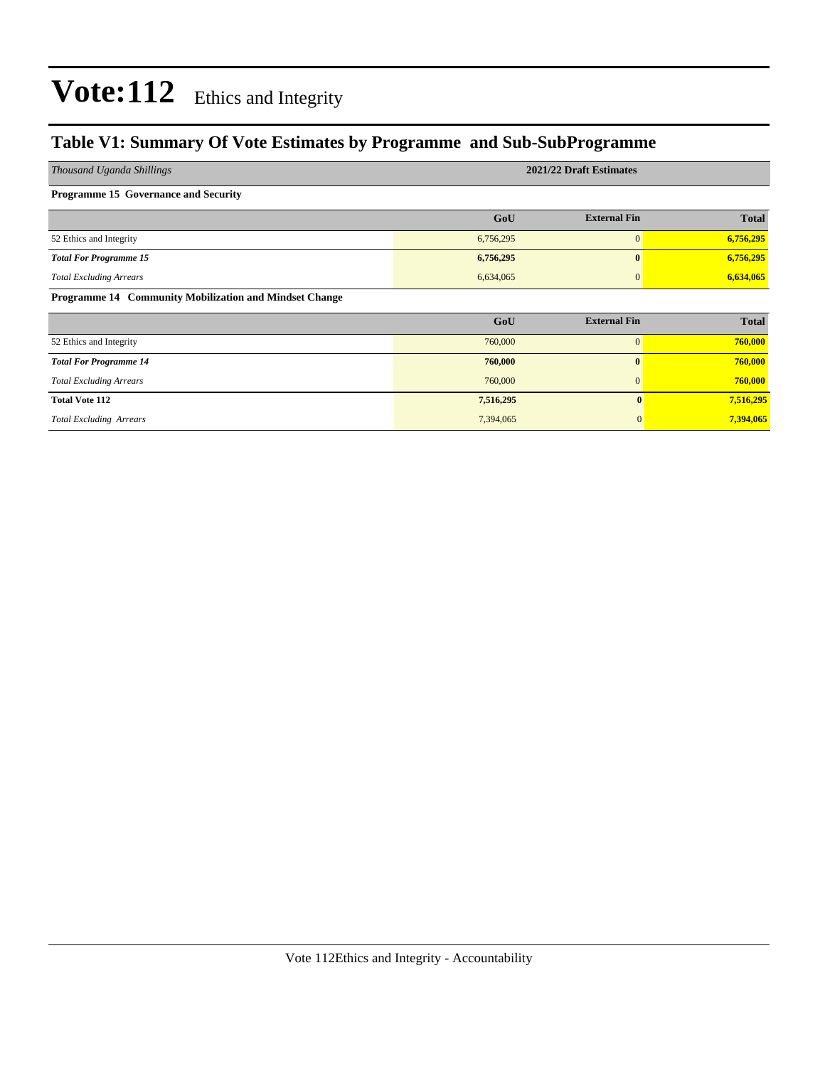### **Table V1: Summary Of Vote Estimates by Programme and Sub-SubProgramme**

| Thousand Uganda Shillings                              |           | 2021/22 Draft Estimates |              |
|--------------------------------------------------------|-----------|-------------------------|--------------|
| <b>Programme 15 Governance and Security</b>            |           |                         |              |
|                                                        | GoU       | <b>External Fin</b>     | <b>Total</b> |
| 52 Ethics and Integrity                                | 6,756,295 | $\boldsymbol{0}$        | 6,756,295    |
| <b>Total For Programme 15</b>                          | 6,756,295 | $\bf{0}$                | 6,756,295    |
| <b>Total Excluding Arrears</b>                         | 6,634,065 | $\Omega$                | 6,634,065    |
| Programme 14 Community Mobilization and Mindset Change |           |                         |              |
|                                                        | GoU       | <b>External Fin</b>     | <b>Total</b> |
| 52 Ethics and Integrity                                | 760,000   | $\mathbf{0}$            | 760,000      |
| <b>Total For Programme 14</b>                          | 760,000   | $\mathbf{0}$            | 760,000      |
| <b>Total Excluding Arrears</b>                         | 760,000   | $\mathbf{0}$            | 760,000      |
| <b>Total Vote 112</b>                                  | 7,516,295 | $\mathbf{0}$            | 7,516,295    |
| <b>Total Excluding Arrears</b>                         | 7,394,065 |                         | 7,394,065    |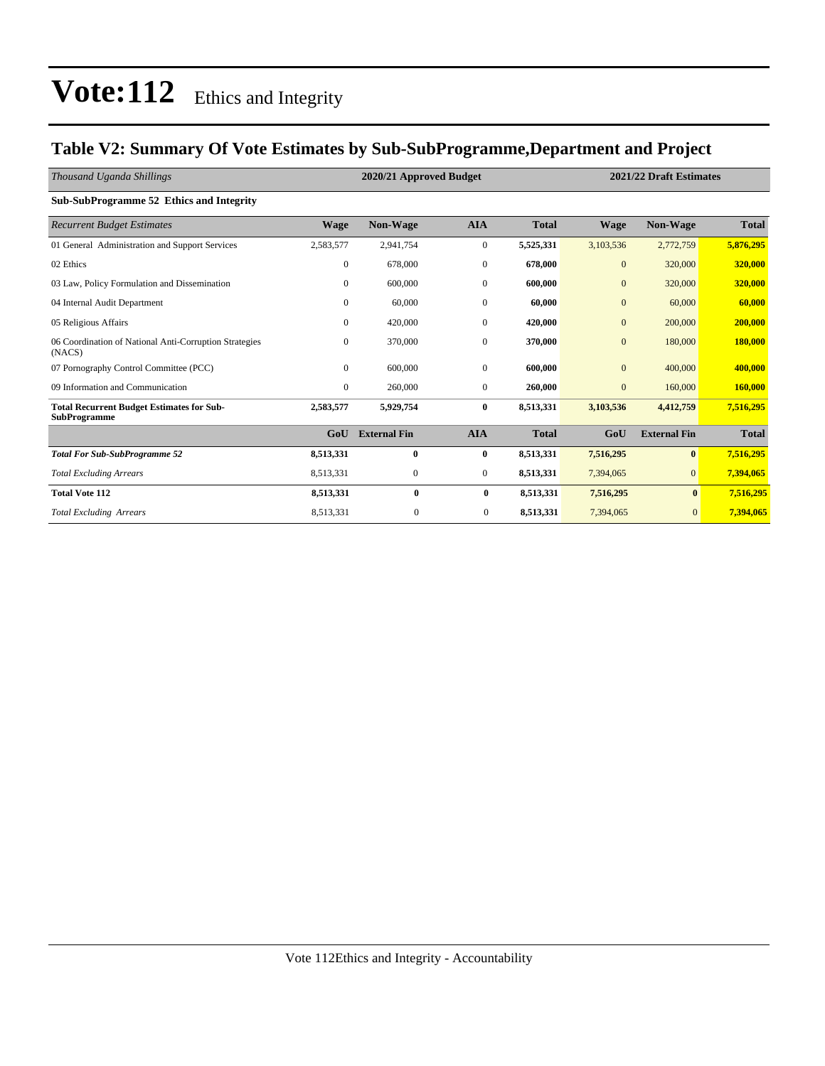### **Table V2: Summary Of Vote Estimates by Sub-SubProgramme,Department and Project**

| Thousand Uganda Shillings                                               |                | 2020/21 Approved Budget<br>2021/22 Draft Estimates |                  |              |                |                     |              |
|-------------------------------------------------------------------------|----------------|----------------------------------------------------|------------------|--------------|----------------|---------------------|--------------|
| Sub-SubProgramme 52 Ethics and Integrity                                |                |                                                    |                  |              |                |                     |              |
| <b>Recurrent Budget Estimates</b>                                       | <b>Wage</b>    | Non-Wage                                           | <b>AIA</b>       | <b>Total</b> | <b>Wage</b>    | Non-Wage            | <b>Total</b> |
| 01 General Administration and Support Services                          | 2,583,577      | 2,941,754                                          | $\mathbf{0}$     | 5,525,331    | 3,103,536      | 2,772,759           | 5,876,295    |
| 02 Ethics                                                               | $\overline{0}$ | 678,000                                            | $\mathbf{0}$     | 678,000      | $\mathbf{0}$   | 320,000             | 320,000      |
| 03 Law, Policy Formulation and Dissemination                            | $\Omega$       | 600,000                                            | $\mathbf{0}$     | 600,000      | $\mathbf{0}$   | 320,000             | 320,000      |
| 04 Internal Audit Department                                            | $\Omega$       | 60,000                                             | $\mathbf{0}$     | 60,000       | $\mathbf{0}$   | 60,000              | 60,000       |
| 05 Religious Affairs                                                    | $\Omega$       | 420,000                                            | $\mathbf{0}$     | 420,000      | $\overline{0}$ | 200,000             | 200,000      |
| 06 Coordination of National Anti-Corruption Strategies<br>(NACS)        | $\overline{0}$ | 370,000                                            | $\boldsymbol{0}$ | 370,000      | $\mathbf{0}$   | 180,000             | 180,000      |
| 07 Pornography Control Committee (PCC)                                  | $\Omega$       | 600,000                                            | $\mathbf{0}$     | 600,000      | $\overline{0}$ | 400,000             | 400,000      |
| 09 Information and Communication                                        | $\overline{0}$ | 260,000                                            | $\mathbf{0}$     | 260,000      | $\mathbf{0}$   | 160,000             | 160,000      |
| <b>Total Recurrent Budget Estimates for Sub-</b><br><b>SubProgramme</b> | 2,583,577      | 5,929,754                                          | $\bf{0}$         | 8,513,331    | 3,103,536      | 4,412,759           | 7,516,295    |
|                                                                         | GoU            | <b>External Fin</b>                                | <b>AIA</b>       | <b>Total</b> | GoU            | <b>External Fin</b> | <b>Total</b> |
| <b>Total For Sub-SubProgramme 52</b>                                    | 8,513,331      | $\bf{0}$                                           | $\bf{0}$         | 8,513,331    | 7,516,295      | $\mathbf{0}$        | 7,516,295    |
| <b>Total Excluding Arrears</b>                                          | 8,513,331      | $\mathbf{0}$                                       | $\overline{0}$   | 8,513,331    | 7,394,065      | $\overline{0}$      | 7,394,065    |
| <b>Total Vote 112</b>                                                   | 8,513,331      | $\bf{0}$                                           | $\bf{0}$         | 8,513,331    | 7,516,295      | $\bf{0}$            | 7,516,295    |
| <b>Total Excluding Arrears</b>                                          | 8,513,331      | $\mathbf{0}$                                       | $\mathbf{0}$     | 8,513,331    | 7,394,065      | $\overline{0}$      | 7,394,065    |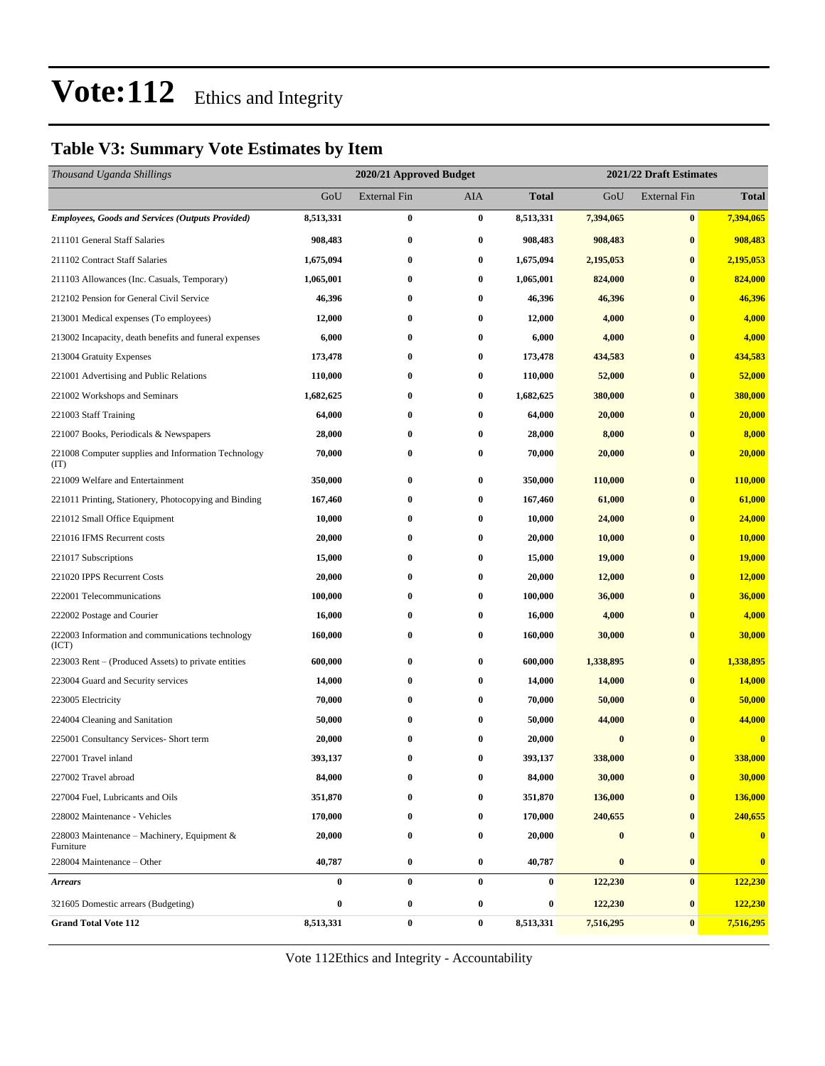### **Table V3: Summary Vote Estimates by Item**

| Thousand Uganda Shillings                                   |           | 2020/21 Approved Budget |                  | 2021/22 Draft Estimates |           |                     |               |  |
|-------------------------------------------------------------|-----------|-------------------------|------------------|-------------------------|-----------|---------------------|---------------|--|
|                                                             | GoU       | <b>External Fin</b>     | AIA              | Total                   | GoU       | <b>External Fin</b> | <b>Total</b>  |  |
| <b>Employees, Goods and Services (Outputs Provided)</b>     | 8,513,331 | $\bf{0}$                | $\bf{0}$         | 8,513,331               | 7,394,065 | $\bf{0}$            | 7,394,065     |  |
| 211101 General Staff Salaries                               | 908,483   | $\bf{0}$                | $\bf{0}$         | 908,483                 | 908,483   | $\bf{0}$            | 908,483       |  |
| 211102 Contract Staff Salaries                              | 1,675,094 | $\bf{0}$                | 0                | 1,675,094               | 2,195,053 | $\bf{0}$            | 2,195,053     |  |
| 211103 Allowances (Inc. Casuals, Temporary)                 | 1,065,001 | $\bf{0}$                | $\bf{0}$         | 1,065,001               | 824,000   | $\bf{0}$            | 824,000       |  |
| 212102 Pension for General Civil Service                    | 46,396    | $\bf{0}$                | 0                | 46,396                  | 46,396    | $\bf{0}$            | 46,396        |  |
| 213001 Medical expenses (To employees)                      | 12,000    | $\bf{0}$                | $\bf{0}$         | 12,000                  | 4,000     | $\bf{0}$            | 4,000         |  |
| 213002 Incapacity, death benefits and funeral expenses      | 6,000     | $\bf{0}$                | $\bf{0}$         | 6,000                   | 4,000     | $\bf{0}$            | 4,000         |  |
| 213004 Gratuity Expenses                                    | 173,478   | $\bf{0}$                | 0                | 173,478                 | 434,583   | $\bf{0}$            | 434,583       |  |
| 221001 Advertising and Public Relations                     | 110,000   | $\bf{0}$                | $\bf{0}$         | 110,000                 | 52,000    | $\bf{0}$            | 52,000        |  |
| 221002 Workshops and Seminars                               | 1,682,625 | $\bf{0}$                | $\bf{0}$         | 1,682,625               | 380,000   | $\bf{0}$            | 380,000       |  |
| 221003 Staff Training                                       | 64,000    | $\bf{0}$                | $\bf{0}$         | 64,000                  | 20,000    | $\bf{0}$            | 20,000        |  |
| 221007 Books, Periodicals & Newspapers                      | 28,000    | $\bf{0}$                | $\bf{0}$         | 28,000                  | 8,000     | $\bf{0}$            | 8,000         |  |
| 221008 Computer supplies and Information Technology<br>(TT) | 70,000    | $\bf{0}$                | 0                | 70,000                  | 20,000    | $\bf{0}$            | 20,000        |  |
| 221009 Welfare and Entertainment                            | 350,000   | $\bf{0}$                | $\bf{0}$         | 350,000                 | 110,000   | $\bf{0}$            | 110,000       |  |
| 221011 Printing, Stationery, Photocopying and Binding       | 167,460   | $\bf{0}$                | $\bf{0}$         | 167,460                 | 61,000    | $\bf{0}$            | 61,000        |  |
| 221012 Small Office Equipment                               | 10,000    | $\bf{0}$                | $\bf{0}$         | 10,000                  | 24,000    | $\bf{0}$            | 24,000        |  |
| 221016 IFMS Recurrent costs                                 | 20,000    | $\bf{0}$                | $\bf{0}$         | 20,000                  | 10,000    | $\bf{0}$            | 10,000        |  |
| 221017 Subscriptions                                        | 15,000    | $\bf{0}$                | $\bf{0}$         | 15,000                  | 19,000    | $\bf{0}$            | <b>19,000</b> |  |
| 221020 IPPS Recurrent Costs                                 | 20,000    | $\bf{0}$                | $\bf{0}$         | 20,000                  | 12,000    | $\bf{0}$            | 12,000        |  |
| 222001 Telecommunications                                   | 100,000   | $\bf{0}$                | $\bf{0}$         | 100,000                 | 36,000    | $\bf{0}$            | 36,000        |  |
| 222002 Postage and Courier                                  | 16,000    | $\bf{0}$                | $\bf{0}$         | 16,000                  | 4,000     | $\bf{0}$            | 4,000         |  |
| 222003 Information and communications technology<br>(ICT)   | 160,000   | $\bf{0}$                | 0                | 160,000                 | 30,000    | $\bf{0}$            | 30,000        |  |
| 223003 Rent – (Produced Assets) to private entities         | 600,000   | $\bf{0}$                | 0                | 600,000                 | 1,338,895 | $\bf{0}$            | 1,338,895     |  |
| 223004 Guard and Security services                          | 14,000    | $\bf{0}$                | $\bf{0}$         | 14,000                  | 14,000    | $\bf{0}$            | <b>14,000</b> |  |
| 223005 Electricity                                          | 70,000    | $\bf{0}$                | 0                | 70,000                  | 50,000    | $\bf{0}$            | 50,000        |  |
| 224004 Cleaning and Sanitation                              | 50,000    | $\bf{0}$                | 0                | 50,000                  | 44,000    | $\bf{0}$            | 44,000        |  |
| 225001 Consultancy Services- Short term                     | 20,000    | $\bf{0}$                | $\bf{0}$         | 20,000                  | $\bf{0}$  | $\mathbf{0}$        | $\bf{0}$      |  |
| 227001 Travel inland                                        | 393,137   | $\bf{0}$                | $\bf{0}$         | 393,137                 | 338,000   | $\bf{0}$            | 338,000       |  |
| 227002 Travel abroad                                        | 84,000    | $\bf{0}$                | $\bf{0}$         | 84,000                  | 30,000    | $\bf{0}$            | 30,000        |  |
| 227004 Fuel, Lubricants and Oils                            | 351,870   | $\bf{0}$                | 0                | 351,870                 | 136,000   | $\bf{0}$            | 136,000       |  |
| 228002 Maintenance - Vehicles                               | 170,000   | $\bf{0}$                | $\boldsymbol{0}$ | 170,000                 | 240,655   | $\bf{0}$            | 240,655       |  |
| 228003 Maintenance – Machinery, Equipment &<br>Furniture    | 20,000    | $\bf{0}$                | $\bf{0}$         | 20,000                  | $\bf{0}$  | $\bf{0}$            | $\mathbf{0}$  |  |
| 228004 Maintenance - Other                                  | 40,787    | $\bf{0}$                | $\bf{0}$         | 40,787                  | $\bf{0}$  | $\bf{0}$            | $\bf{0}$      |  |
| <b>Arrears</b>                                              | $\bf{0}$  | $\pmb{0}$               | $\bf{0}$         | 0                       | 122,230   | $\bf{0}$            | 122,230       |  |
| 321605 Domestic arrears (Budgeting)                         | $\bf{0}$  | $\bf{0}$                | $\boldsymbol{0}$ | 0                       | 122,230   | $\bf{0}$            | 122,230       |  |
| <b>Grand Total Vote 112</b>                                 | 8,513,331 | $\bf{0}$                | $\bf{0}$         | 8,513,331               | 7,516,295 | $\pmb{0}$           | 7,516,295     |  |

Vote 112Ethics and Integrity - Accountability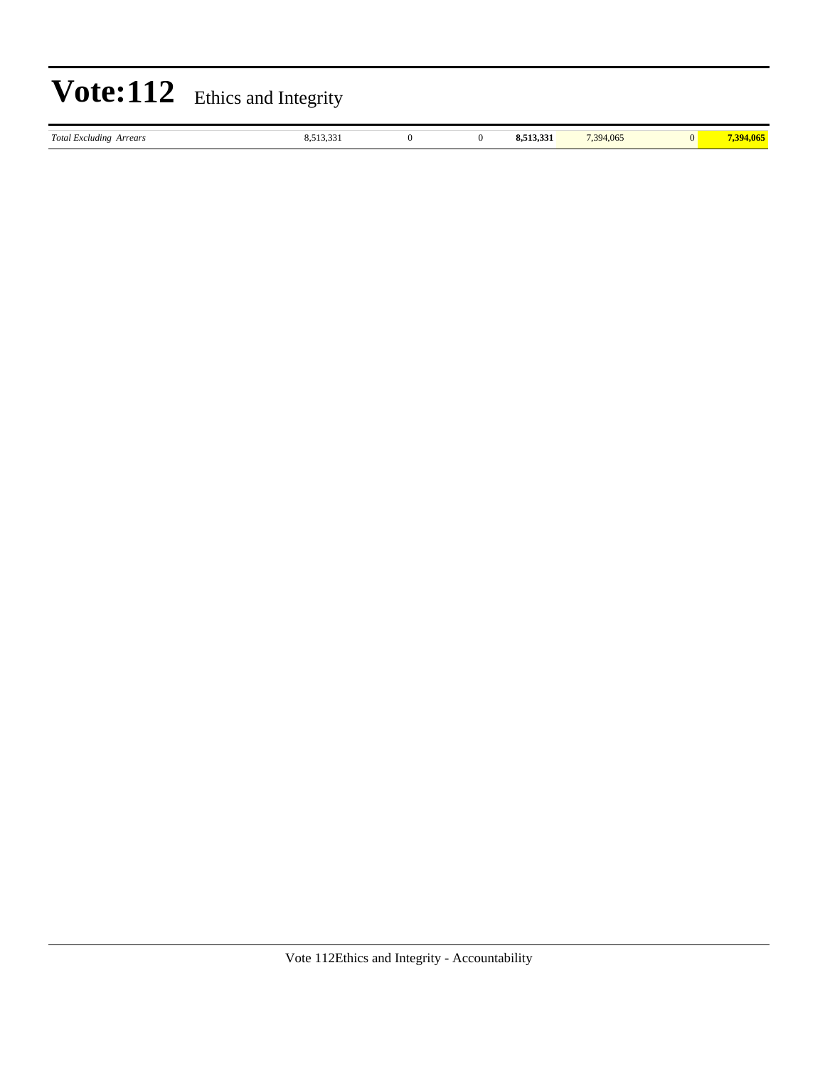|                                | <b>Vote:112</b> Ethics and Integrity |  |           |           |           |
|--------------------------------|--------------------------------------|--|-----------|-----------|-----------|
| <b>Total Excluding Arrears</b> | 8,513,331                            |  | 8,513,331 | 7.394,065 | 7,394,065 |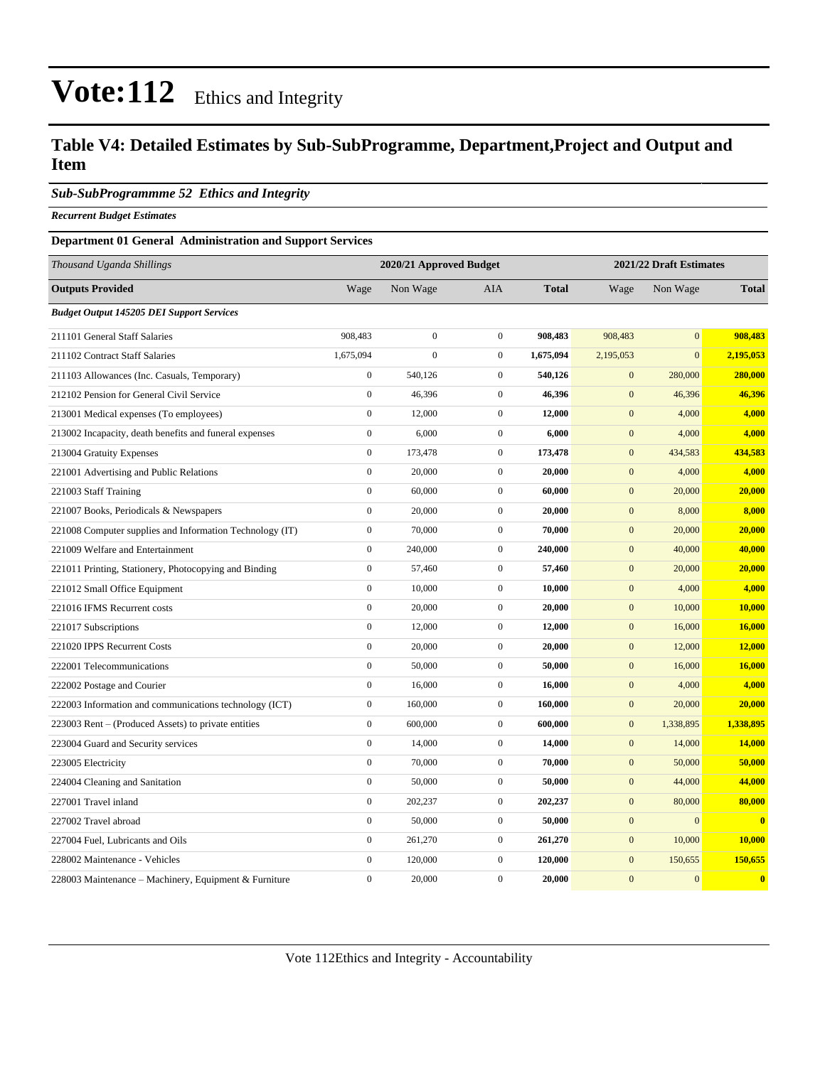### **Table V4: Detailed Estimates by Sub-SubProgramme, Department,Project and Output and Item**

#### *Sub-SubProgrammme 52 Ethics and Integrity*

*Recurrent Budget Estimates*

#### **Department 01 General Administration and Support Services**

| Thousand Uganda Shillings                                |                  | 2020/21 Approved Budget |                  |              |                  | 2021/22 Draft Estimates |              |  |
|----------------------------------------------------------|------------------|-------------------------|------------------|--------------|------------------|-------------------------|--------------|--|
| <b>Outputs Provided</b>                                  | Wage             | Non Wage                | <b>AIA</b>       | <b>Total</b> | Wage             | Non Wage                | <b>Total</b> |  |
| <b>Budget Output 145205 DEI Support Services</b>         |                  |                         |                  |              |                  |                         |              |  |
| 211101 General Staff Salaries                            | 908,483          | $\boldsymbol{0}$        | $\mathbf{0}$     | 908,483      | 908,483          | $\mathbf{0}$            | 908,483      |  |
| 211102 Contract Staff Salaries                           | 1,675,094        | $\overline{0}$          | $\mathbf{0}$     | 1,675,094    | 2,195,053        | $\mathbf{0}$            | 2,195,053    |  |
| 211103 Allowances (Inc. Casuals, Temporary)              | $\mathbf{0}$     | 540,126                 | $\boldsymbol{0}$ | 540,126      | $\mathbf{0}$     | 280,000                 | 280,000      |  |
| 212102 Pension for General Civil Service                 | $\boldsymbol{0}$ | 46,396                  | $\boldsymbol{0}$ | 46,396       | $\mathbf{0}$     | 46,396                  | 46,396       |  |
| 213001 Medical expenses (To employees)                   | $\boldsymbol{0}$ | 12,000                  | $\boldsymbol{0}$ | 12,000       | $\mathbf{0}$     | 4,000                   | 4,000        |  |
| 213002 Incapacity, death benefits and funeral expenses   | $\boldsymbol{0}$ | 6,000                   | $\boldsymbol{0}$ | 6,000        | $\mathbf{0}$     | 4,000                   | 4,000        |  |
| 213004 Gratuity Expenses                                 | $\overline{0}$   | 173,478                 | $\mathbf{0}$     | 173,478      | $\mathbf{0}$     | 434,583                 | 434,583      |  |
| 221001 Advertising and Public Relations                  | $\overline{0}$   | 20,000                  | $\boldsymbol{0}$ | 20,000       | $\mathbf{0}$     | 4,000                   | 4,000        |  |
| 221003 Staff Training                                    | $\boldsymbol{0}$ | 60,000                  | $\boldsymbol{0}$ | 60,000       | $\boldsymbol{0}$ | 20,000                  | 20,000       |  |
| 221007 Books, Periodicals & Newspapers                   | $\boldsymbol{0}$ | 20,000                  | $\boldsymbol{0}$ | 20,000       | $\boldsymbol{0}$ | 8,000                   | 8,000        |  |
| 221008 Computer supplies and Information Technology (IT) | $\overline{0}$   | 70,000                  | $\mathbf{0}$     | 70,000       | $\mathbf{0}$     | 20,000                  | 20,000       |  |
| 221009 Welfare and Entertainment                         | $\overline{0}$   | 240,000                 | $\boldsymbol{0}$ | 240,000      | $\mathbf{0}$     | 40,000                  | 40,000       |  |
| 221011 Printing, Stationery, Photocopying and Binding    | $\boldsymbol{0}$ | 57,460                  | $\boldsymbol{0}$ | 57,460       | $\mathbf{0}$     | 20,000                  | 20,000       |  |
| 221012 Small Office Equipment                            | $\boldsymbol{0}$ | 10,000                  | $\boldsymbol{0}$ | 10,000       | $\mathbf{0}$     | 4,000                   | 4,000        |  |
| 221016 IFMS Recurrent costs                              | $\overline{0}$   | 20,000                  | $\boldsymbol{0}$ | 20,000       | $\boldsymbol{0}$ | 10,000                  | 10,000       |  |
| 221017 Subscriptions                                     | $\boldsymbol{0}$ | 12,000                  | $\mathbf{0}$     | 12,000       | $\mathbf{0}$     | 16,000                  | 16,000       |  |
| 221020 IPPS Recurrent Costs                              | $\boldsymbol{0}$ | 20,000                  | $\boldsymbol{0}$ | 20,000       | $\mathbf{0}$     | 12,000                  | 12,000       |  |
| 222001 Telecommunications                                | $\boldsymbol{0}$ | 50,000                  | $\boldsymbol{0}$ | 50,000       | $\boldsymbol{0}$ | 16,000                  | 16,000       |  |
| 222002 Postage and Courier                               | $\boldsymbol{0}$ | 16,000                  | $\boldsymbol{0}$ | 16,000       | $\mathbf{0}$     | 4,000                   | 4,000        |  |
| 222003 Information and communications technology (ICT)   | $\boldsymbol{0}$ | 160,000                 | $\mathbf{0}$     | 160,000      | $\mathbf{0}$     | 20,000                  | 20,000       |  |
| 223003 Rent – (Produced Assets) to private entities      | $\boldsymbol{0}$ | 600,000                 | $\boldsymbol{0}$ | 600,000      | $\mathbf{0}$     | 1,338,895               | 1,338,895    |  |
| 223004 Guard and Security services                       | $\boldsymbol{0}$ | 14,000                  | $\mathbf{0}$     | 14,000       | $\boldsymbol{0}$ | 14,000                  | 14,000       |  |
| 223005 Electricity                                       | $\boldsymbol{0}$ | 70,000                  | $\boldsymbol{0}$ | 70,000       | $\boldsymbol{0}$ | 50,000                  | 50,000       |  |
| 224004 Cleaning and Sanitation                           | $\boldsymbol{0}$ | 50,000                  | $\boldsymbol{0}$ | 50,000       | $\mathbf{0}$     | 44,000                  | 44,000       |  |
| 227001 Travel inland                                     | $\overline{0}$   | 202,237                 | $\boldsymbol{0}$ | 202,237      | $\mathbf{0}$     | 80,000                  | 80,000       |  |
| 227002 Travel abroad                                     | $\boldsymbol{0}$ | 50,000                  | $\boldsymbol{0}$ | 50,000       | $\mathbf{0}$     | $\mathbf{0}$            | $\bf{0}$     |  |
| 227004 Fuel, Lubricants and Oils                         | $\boldsymbol{0}$ | 261,270                 | $\boldsymbol{0}$ | 261,270      | $\mathbf{0}$     | 10,000                  | 10,000       |  |
| 228002 Maintenance - Vehicles                            | $\overline{0}$   | 120,000                 | $\mathbf{0}$     | 120,000      | $\boldsymbol{0}$ | 150,655                 | 150,655      |  |
| 228003 Maintenance - Machinery, Equipment & Furniture    | $\theta$         | 20,000                  | $\Omega$         | 20.000       | $\mathbf{0}$     | $\mathbf{0}$            | $\mathbf{0}$ |  |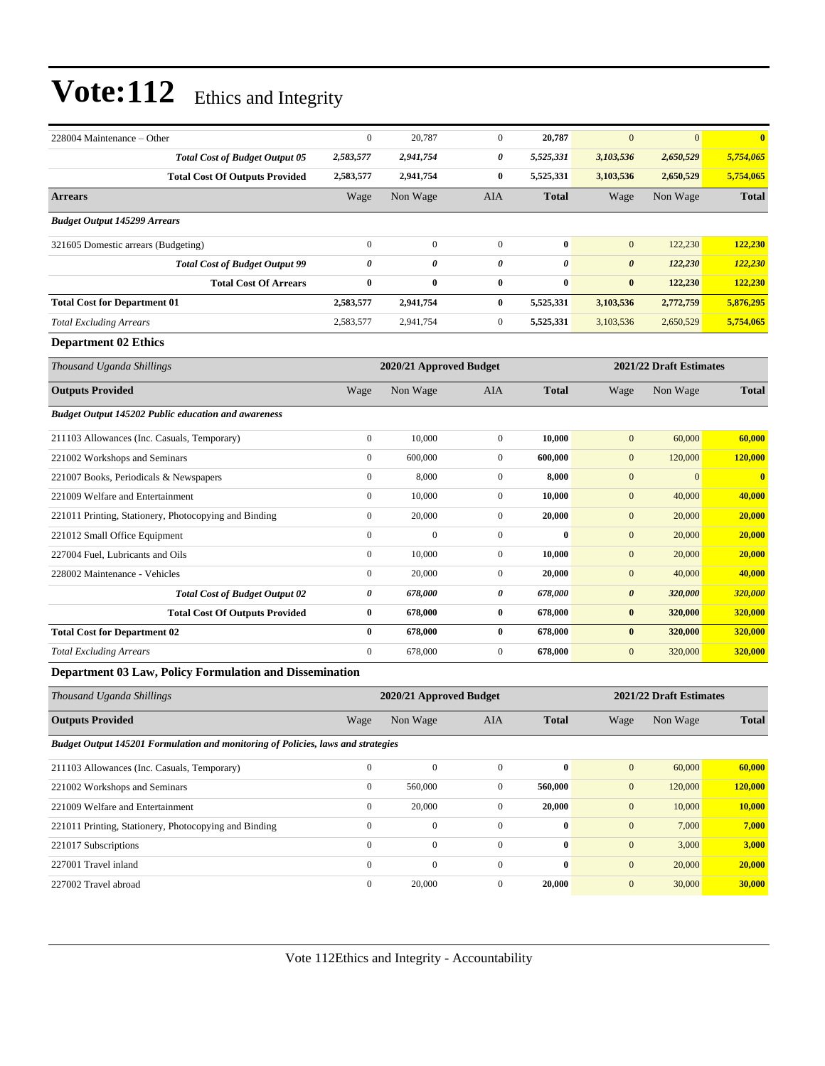| 228004 Maintenance – Other                                                       | $\boldsymbol{0}$ | 20,787                  | $\boldsymbol{0}$ | 20,787       | $\mathbf{0}$          | $\mathbf{0}$            | $\overline{\mathbf{0}}$ |
|----------------------------------------------------------------------------------|------------------|-------------------------|------------------|--------------|-----------------------|-------------------------|-------------------------|
| <b>Total Cost of Budget Output 05</b>                                            | 2,583,577        | 2,941,754               | 0                | 5,525,331    | 3,103,536             | 2,650,529               | 5,754,065               |
| <b>Total Cost Of Outputs Provided</b>                                            | 2,583,577        | 2,941,754               | 0                | 5,525,331    | 3,103,536             | 2,650,529               | 5,754,065               |
| <b>Arrears</b>                                                                   | Wage             | Non Wage                | AIA              | <b>Total</b> | Wage                  | Non Wage                | <b>Total</b>            |
| <b>Budget Output 145299 Arrears</b>                                              |                  |                         |                  |              |                       |                         |                         |
| 321605 Domestic arrears (Budgeting)                                              | $\boldsymbol{0}$ | $\boldsymbol{0}$        | $\mathbf{0}$     | $\bf{0}$     | $\mathbf{0}$          | 122,230                 | 122,230                 |
| <b>Total Cost of Budget Output 99</b>                                            | $\pmb{\theta}$   | 0                       | 0                | 0            | $\boldsymbol{\theta}$ | 122,230                 | 122,230                 |
| <b>Total Cost Of Arrears</b>                                                     | $\bf{0}$         | 0                       | 0                | $\bf{0}$     | $\bf{0}$              | 122,230                 | 122,230                 |
| <b>Total Cost for Department 01</b>                                              | 2,583,577        | 2,941,754               | 0                | 5,525,331    | 3,103,536             | 2,772,759               | 5,876,295               |
| <b>Total Excluding Arrears</b>                                                   | 2,583,577        | 2,941,754               | $\mathbf{0}$     | 5,525,331    | 3,103,536             | 2,650,529               | 5,754,065               |
| <b>Department 02 Ethics</b>                                                      |                  |                         |                  |              |                       |                         |                         |
| Thousand Uganda Shillings                                                        |                  | 2020/21 Approved Budget |                  |              |                       | 2021/22 Draft Estimates |                         |
| <b>Outputs Provided</b>                                                          | Wage             | Non Wage                | AIA              | <b>Total</b> | Wage                  | Non Wage                | <b>Total</b>            |
| <b>Budget Output 145202 Public education and awareness</b>                       |                  |                         |                  |              |                       |                         |                         |
| 211103 Allowances (Inc. Casuals, Temporary)                                      | $\boldsymbol{0}$ | 10,000                  | $\mathbf{0}$     | 10,000       | $\mathbf{0}$          | 60,000                  | 60,000                  |
| 221002 Workshops and Seminars                                                    | $\boldsymbol{0}$ | 600,000                 | $\boldsymbol{0}$ | 600,000      | $\mathbf{0}$          | 120,000                 | 120,000                 |
| 221007 Books, Periodicals & Newspapers                                           | $\boldsymbol{0}$ | 8,000                   | $\mathbf{0}$     | 8,000        | $\mathbf{0}$          | $\mathbf{0}$            | $\bf{0}$                |
| 221009 Welfare and Entertainment                                                 | $\boldsymbol{0}$ | 10,000                  | $\mathbf{0}$     | 10,000       | $\mathbf{0}$          | 40,000                  | 40,000                  |
| 221011 Printing, Stationery, Photocopying and Binding                            | $\boldsymbol{0}$ | 20,000                  | $\boldsymbol{0}$ | 20,000       | $\mathbf{0}$          | 20,000                  | 20,000                  |
| 221012 Small Office Equipment                                                    | $\mathbf{0}$     | $\mathbf{0}$            | $\mathbf{0}$     | $\bf{0}$     | $\mathbf{0}$          | 20,000                  | 20,000                  |
| 227004 Fuel, Lubricants and Oils                                                 | $\boldsymbol{0}$ | 10,000                  | $\boldsymbol{0}$ | 10,000       | $\mathbf{0}$          | 20,000                  | 20,000                  |
| 228002 Maintenance - Vehicles                                                    | $\boldsymbol{0}$ | 20,000                  | $\boldsymbol{0}$ | 20,000       | $\mathbf{0}$          | 40,000                  | 40,000                  |
| <b>Total Cost of Budget Output 02</b>                                            | 0                | 678,000                 | 0                | 678,000      | $\pmb{\theta}$        | 320,000                 | 320,000                 |
| <b>Total Cost Of Outputs Provided</b>                                            | $\bf{0}$         | 678,000                 | 0                | 678,000      | $\bf{0}$              | 320,000                 | 320,000                 |
| <b>Total Cost for Department 02</b>                                              | $\bf{0}$         | 678,000                 | $\bf{0}$         | 678,000      | $\bf{0}$              | 320,000                 | 320,000                 |
| <b>Total Excluding Arrears</b>                                                   | $\boldsymbol{0}$ | 678,000                 | $\boldsymbol{0}$ | 678,000      | $\mathbf{0}$          | 320,000                 | 320,000                 |
| Department 03 Law, Policy Formulation and Dissemination                          |                  |                         |                  |              |                       |                         |                         |
| Thousand Uganda Shillings                                                        |                  | 2020/21 Approved Budget |                  |              |                       | 2021/22 Draft Estimates |                         |
| <b>Outputs Provided</b>                                                          | Wage             | Non Wage                | <b>AIA</b>       | <b>Total</b> | Wage                  | Non Wage                | <b>Total</b>            |
| Budget Output 145201 Formulation and monitoring of Policies, laws and strategies |                  |                         |                  |              |                       |                         |                         |
| 211103 Allowances (Inc. Casuals, Temporary)                                      | $\boldsymbol{0}$ | $\boldsymbol{0}$        | $\mathbf{0}$     | $\bf{0}$     | $\boldsymbol{0}$      | 60,000                  | 60,000                  |
| 221002 Workshops and Seminars                                                    | $\boldsymbol{0}$ | 560,000                 | $\boldsymbol{0}$ | 560,000      | $\boldsymbol{0}$      | 120,000                 | 120,000                 |
| 221009 Welfare and Entertainment                                                 | $\boldsymbol{0}$ | 20,000                  | $\boldsymbol{0}$ | 20,000       | $\mathbf{0}$          | 10,000                  | 10,000                  |
| 221011 Printing, Stationery, Photocopying and Binding                            | $\boldsymbol{0}$ | $\boldsymbol{0}$        | $\boldsymbol{0}$ | $\bf{0}$     | $\boldsymbol{0}$      | 7,000                   | 7,000                   |
| 221017 Subscriptions                                                             | $\boldsymbol{0}$ | $\overline{0}$          | $\boldsymbol{0}$ | $\bf{0}$     | $\mathbf{0}$          | 3,000                   | 3,000                   |
| 227001 Travel inland                                                             | $\boldsymbol{0}$ | $\boldsymbol{0}$        | $\boldsymbol{0}$ | $\bf{0}$     | $\boldsymbol{0}$      | 20,000                  | 20,000                  |
| 227002 Travel abroad                                                             | $\boldsymbol{0}$ | 20,000                  | $\overline{0}$   | 20,000       | $\mathbf{0}$          | 30,000                  | 30,000                  |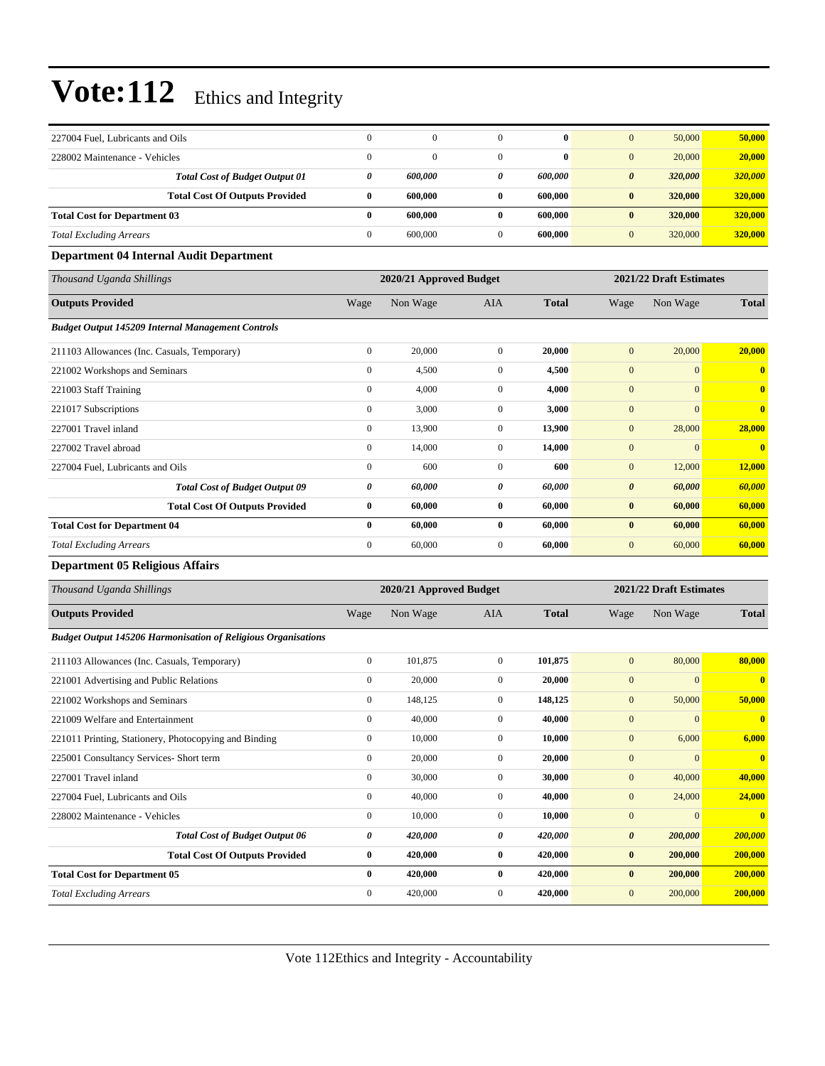| 227004 Fuel, Lubricants and Oils                                     | $\boldsymbol{0}$ | $\mathbf{0}$            | $\mathbf{0}$     | $\bf{0}$     | $\mathbf{0}$          | 50,000                  | 50,000                  |
|----------------------------------------------------------------------|------------------|-------------------------|------------------|--------------|-----------------------|-------------------------|-------------------------|
| 228002 Maintenance - Vehicles                                        | $\mathbf{0}$     | $\overline{0}$          | $\mathbf{0}$     | $\bf{0}$     | $\mathbf{0}$          | 20,000                  | 20,000                  |
| <b>Total Cost of Budget Output 01</b>                                | 0                | 600,000                 | 0                | 600,000      | $\boldsymbol{\theta}$ | 320,000                 | 320,000                 |
| <b>Total Cost Of Outputs Provided</b>                                | $\bf{0}$         | 600,000                 | $\bf{0}$         | 600,000      | $\bf{0}$              | 320,000                 | 320,000                 |
| <b>Total Cost for Department 03</b>                                  | $\bf{0}$         | 600,000                 | $\bf{0}$         | 600,000      | $\bf{0}$              | 320,000                 | 320,000                 |
| <b>Total Excluding Arrears</b>                                       | $\boldsymbol{0}$ | 600,000                 | $\mathbf{0}$     | 600,000      | $\boldsymbol{0}$      | 320,000                 | 320,000                 |
| <b>Department 04 Internal Audit Department</b>                       |                  |                         |                  |              |                       |                         |                         |
| Thousand Uganda Shillings                                            |                  | 2020/21 Approved Budget |                  |              |                       | 2021/22 Draft Estimates |                         |
| <b>Outputs Provided</b>                                              | Wage             | Non Wage                | AIA              | <b>Total</b> | Wage                  | Non Wage                | <b>Total</b>            |
| <b>Budget Output 145209 Internal Management Controls</b>             |                  |                         |                  |              |                       |                         |                         |
| 211103 Allowances (Inc. Casuals, Temporary)                          | $\boldsymbol{0}$ | 20,000                  | $\boldsymbol{0}$ | 20,000       | $\mathbf{0}$          | 20,000                  | 20,000                  |
| 221002 Workshops and Seminars                                        | $\boldsymbol{0}$ | 4,500                   | $\boldsymbol{0}$ | 4,500        | $\boldsymbol{0}$      | $\mathbf{0}$            | $\bf{0}$                |
| 221003 Staff Training                                                | $\boldsymbol{0}$ | 4,000                   | $\mathbf{0}$     | 4,000        | $\boldsymbol{0}$      | $\mathbf{0}$            | $\bf{0}$                |
| 221017 Subscriptions                                                 | $\boldsymbol{0}$ | 3,000                   | $\mathbf{0}$     | 3,000        | $\boldsymbol{0}$      | $\mathbf{0}$            | $\bf{0}$                |
| 227001 Travel inland                                                 | $\boldsymbol{0}$ | 13,900                  | $\mathbf{0}$     | 13,900       | $\boldsymbol{0}$      | 28,000                  | 28,000                  |
| 227002 Travel abroad                                                 | $\boldsymbol{0}$ | 14,000                  | $\boldsymbol{0}$ | 14,000       | $\boldsymbol{0}$      | $\mathbf{0}$            | $\bf{0}$                |
| 227004 Fuel, Lubricants and Oils                                     | $\boldsymbol{0}$ | 600                     | $\overline{0}$   | 600          | $\boldsymbol{0}$      | 12,000                  | 12,000                  |
| <b>Total Cost of Budget Output 09</b>                                | 0                | 60,000                  | 0                | 60,000       | $\boldsymbol{\theta}$ | 60,000                  | 60,000                  |
| <b>Total Cost Of Outputs Provided</b>                                | $\bf{0}$         | 60,000                  | $\bf{0}$         | 60,000       | $\bf{0}$              | 60,000                  | 60,000                  |
| <b>Total Cost for Department 04</b>                                  | $\bf{0}$         | 60,000                  | $\bf{0}$         | 60,000       | $\bf{0}$              | 60,000                  | 60,000                  |
| <b>Total Excluding Arrears</b>                                       | $\boldsymbol{0}$ | 60,000                  | $\boldsymbol{0}$ | 60,000       | $\mathbf{0}$          | 60,000                  | 60,000                  |
| <b>Department 05 Religious Affairs</b>                               |                  |                         |                  |              |                       |                         |                         |
| Thousand Uganda Shillings                                            |                  | 2020/21 Approved Budget |                  |              |                       | 2021/22 Draft Estimates |                         |
| <b>Outputs Provided</b>                                              | Wage             | Non Wage                | AIA              | <b>Total</b> | Wage                  | Non Wage                | <b>Total</b>            |
| <b>Budget Output 145206 Harmonisation of Religious Organisations</b> |                  |                         |                  |              |                       |                         |                         |
| 211103 Allowances (Inc. Casuals, Temporary)                          | $\boldsymbol{0}$ | 101,875                 | $\boldsymbol{0}$ | 101,875      | $\boldsymbol{0}$      | 80,000                  | 80,000                  |
| 221001 Advertising and Public Relations                              | $\boldsymbol{0}$ | 20,000                  | $\mathbf{0}$     | 20,000       | $\boldsymbol{0}$      | $\mathbf{0}$            | $\overline{\mathbf{0}}$ |
| 221002 Workshops and Seminars                                        | $\boldsymbol{0}$ | 148,125                 | $\boldsymbol{0}$ | 148,125      | $\boldsymbol{0}$      | 50,000                  | 50,000                  |
| 221009 Welfare and Entertainment                                     | $\boldsymbol{0}$ | 40,000                  | $\mathbf{0}$     | 40,000       | $\mathbf{0}$          | $\mathbf{0}$            | $\bf{0}$                |
| 221011 Printing, Stationery, Photocopying and Binding                | $\boldsymbol{0}$ | 10,000                  | $\boldsymbol{0}$ | 10,000       | $\boldsymbol{0}$      | 6,000                   | 6,000                   |
| 225001 Consultancy Services- Short term                              | $\boldsymbol{0}$ | 20,000                  | $\boldsymbol{0}$ | 20,000       | $\boldsymbol{0}$      | $\mathbf{0}$            | $\bf{0}$                |
| 227001 Travel inland                                                 | $\boldsymbol{0}$ | 30,000                  | $\boldsymbol{0}$ | 30,000       | $\boldsymbol{0}$      | 40,000                  | 40,000                  |
| 227004 Fuel, Lubricants and Oils                                     | $\boldsymbol{0}$ | 40,000                  | $\boldsymbol{0}$ | 40,000       | $\boldsymbol{0}$      | 24,000                  | 24,000                  |
| 228002 Maintenance - Vehicles                                        | $\boldsymbol{0}$ | 10,000                  | $\boldsymbol{0}$ | 10,000       | $\boldsymbol{0}$      | $\boldsymbol{0}$        | $\mathbf{0}$            |
| <b>Total Cost of Budget Output 06</b>                                | $\pmb{\theta}$   | 420,000                 | 0                | 420,000      | $\pmb{\theta}$        | 200,000                 | 200,000                 |
| <b>Total Cost Of Outputs Provided</b>                                | $\bf{0}$         | 420,000                 | $\bf{0}$         | 420,000      | $\pmb{0}$             | 200,000                 | 200,000                 |
| <b>Total Cost for Department 05</b>                                  | $\bf{0}$         | 420,000                 | $\bf{0}$         | 420,000      | $\bf{0}$              | 200,000                 | 200,000                 |
| <b>Total Excluding Arrears</b>                                       | $\boldsymbol{0}$ | 420,000                 | $\boldsymbol{0}$ | 420,000      | $\boldsymbol{0}$      | 200,000                 | 200,000                 |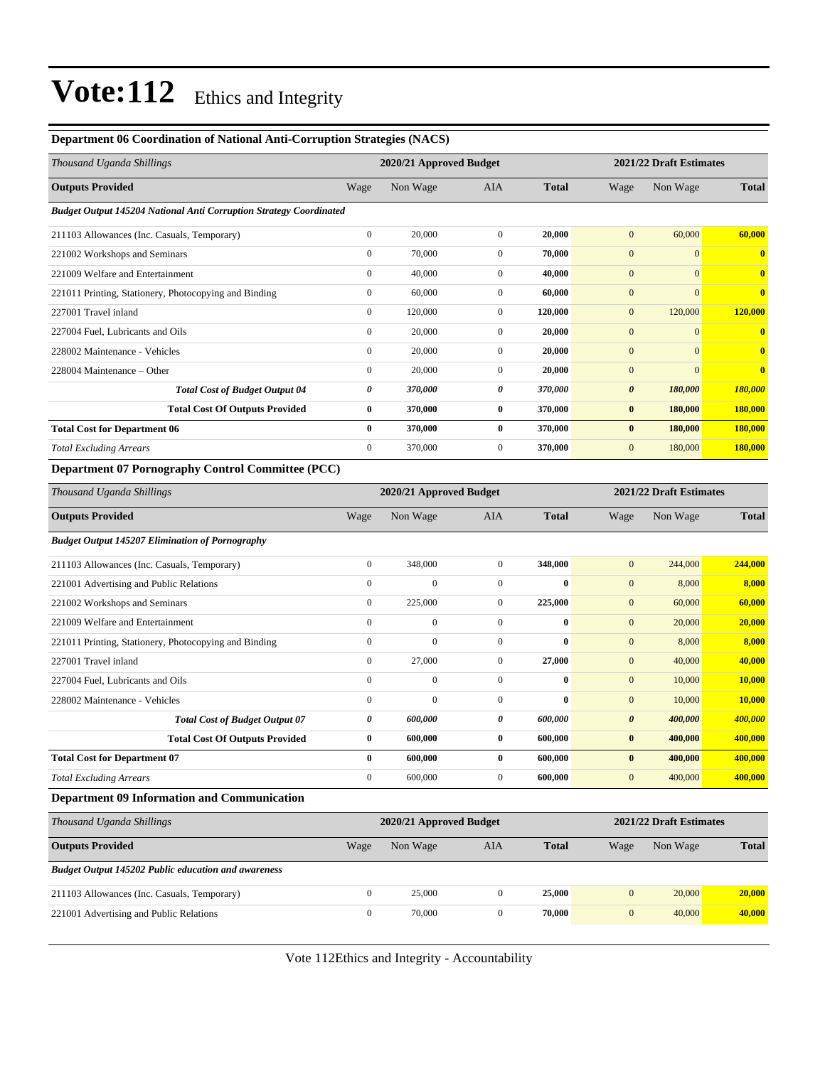#### **Department 06 Coordination of National Anti-Corruption Strategies (NACS)**

| Thousand Uganda Shillings                                                 |                  | 2021/22 Draft Estimates<br>2020/21 Approved Budget |                |              |                       |                         |                         |
|---------------------------------------------------------------------------|------------------|----------------------------------------------------|----------------|--------------|-----------------------|-------------------------|-------------------------|
| <b>Outputs Provided</b>                                                   | Wage             | Non Wage                                           | <b>AIA</b>     | <b>Total</b> | Wage                  | Non Wage                | <b>Total</b>            |
| <b>Budget Output 145204 National Anti Corruption Strategy Coordinated</b> |                  |                                                    |                |              |                       |                         |                         |
| 211103 Allowances (Inc. Casuals, Temporary)                               | $\mathbf{0}$     | 20,000                                             | $\overline{0}$ | 20,000       | $\mathbf{0}$          | 60,000                  | 60,000                  |
| 221002 Workshops and Seminars                                             | $\mathbf{0}$     | 70,000                                             | $\overline{0}$ | 70,000       | $\mathbf{0}$          | $\overline{0}$          | $\overline{\mathbf{0}}$ |
| 221009 Welfare and Entertainment                                          | $\mathbf{0}$     | 40,000                                             | $\overline{0}$ | 40,000       | $\mathbf{0}$          | $\mathbf{0}$            | $\overline{\mathbf{0}}$ |
| 221011 Printing, Stationery, Photocopying and Binding                     | $\boldsymbol{0}$ | 60,000                                             | $\overline{0}$ | 60,000       | $\mathbf{0}$          | $\overline{0}$          | $\overline{\mathbf{0}}$ |
| 227001 Travel inland                                                      | $\mathbf{0}$     | 120,000                                            | $\overline{0}$ | 120,000      | $\mathbf{0}$          | 120,000                 | 120,000                 |
| 227004 Fuel, Lubricants and Oils                                          | $\mathbf{0}$     | 20,000                                             | $\overline{0}$ | 20,000       | $\mathbf{0}$          | $\mathbf{0}$            | $\mathbf{0}$            |
| 228002 Maintenance - Vehicles                                             | $\mathbf{0}$     | 20,000                                             | $\overline{0}$ | 20,000       | $\mathbf{0}$          | $\mathbf{0}$            | $\mathbf{0}$            |
| 228004 Maintenance – Other                                                | $\mathbf{0}$     | 20,000                                             | $\overline{0}$ | 20,000       | $\mathbf{0}$          | $\mathbf{0}$            | $\mathbf{0}$            |
| <b>Total Cost of Budget Output 04</b>                                     | 0                | 370,000                                            | 0              | 370,000      | $\boldsymbol{\theta}$ | 180,000                 | 180,000                 |
| <b>Total Cost Of Outputs Provided</b>                                     | $\bf{0}$         | 370,000                                            | 0              | 370,000      | $\bf{0}$              | 180,000                 | 180,000                 |
| <b>Total Cost for Department 06</b>                                       | $\bf{0}$         | 370,000                                            | $\bf{0}$       | 370,000      | $\bf{0}$              | 180,000                 | 180,000                 |
| <b>Total Excluding Arrears</b>                                            | $\mathbf{0}$     | 370,000                                            | $\mathbf{0}$   | 370,000      | $\mathbf{0}$          | 180,000                 | 180,000                 |
| <b>Department 07 Pornography Control Committee (PCC)</b>                  |                  |                                                    |                |              |                       |                         |                         |
| Thousand Uganda Shillings                                                 |                  | 2020/21 Approved Budget                            |                |              |                       | 2021/22 Draft Estimates |                         |

| <b>Outputs Provided</b>                                | Wage           | Non Wage         | <b>AIA</b>     | <b>Total</b> | Wage                  | Non Wage | <b>Total</b> |
|--------------------------------------------------------|----------------|------------------|----------------|--------------|-----------------------|----------|--------------|
| <b>Budget Output 145207 Elimination of Pornography</b> |                |                  |                |              |                       |          |              |
| 211103 Allowances (Inc. Casuals, Temporary)            | $\overline{0}$ | 348,000          | $\overline{0}$ | 348,000      | $\mathbf{0}$          | 244,000  | 244,000      |
| 221001 Advertising and Public Relations                | 0              | $\boldsymbol{0}$ | $\mathbf{0}$   | 0            | $\mathbf{0}$          | 8,000    | 8,000        |
| 221002 Workshops and Seminars                          | $\mathbf{0}$   | 225,000          | $\overline{0}$ | 225,000      | $\mathbf{0}$          | 60,000   | 60,000       |
| 221009 Welfare and Entertainment                       | $\mathbf{0}$   | $\mathbf{0}$     | $\overline{0}$ | 0            | $\mathbf{0}$          | 20,000   | 20,000       |
| 221011 Printing, Stationery, Photocopying and Binding  | $\mathbf{0}$   | $\boldsymbol{0}$ | $\mathbf{0}$   | $\bf{0}$     | $\mathbf{0}$          | 8,000    | 8,000        |
| 227001 Travel inland                                   | $\mathbf{0}$   | 27,000           | $\overline{0}$ | 27,000       | $\mathbf{0}$          | 40,000   | 40,000       |
| 227004 Fuel, Lubricants and Oils                       | $\mathbf{0}$   | $\mathbf{0}$     | $\mathbf{0}$   | 0            | $\mathbf{0}$          | 10,000   | 10,000       |
| 228002 Maintenance - Vehicles                          | $\mathbf{0}$   | $\mathbf{0}$     | $\mathbf{0}$   | 0            | $\mathbf{0}$          | 10,000   | 10,000       |
| <b>Total Cost of Budget Output 07</b>                  | 0              | 600,000          | 0              | 600,000      | $\boldsymbol{\theta}$ | 400,000  | 400,000      |
| <b>Total Cost Of Outputs Provided</b>                  | 0              | 600,000          | $\bf{0}$       | 600,000      | $\bf{0}$              | 400,000  | 400,000      |
| <b>Total Cost for Department 07</b>                    | 0              | 600,000          | $\bf{0}$       | 600,000      | $\bf{0}$              | 400,000  | 400,000      |
| <b>Total Excluding Arrears</b>                         | $\mathbf{0}$   | 600,000          | $\overline{0}$ | 600,000      | $\mathbf{0}$          | 400,000  | 400,000      |
| <b>Department 09 Information and Communication</b>     |                |                  |                |              |                       |          |              |
|                                                        |                |                  |                |              |                       |          |              |

| Thousand Uganda Shillings                                  | 2020/21 Approved Budget |          |     |              | 2021/22 Draft Estimates |              |  |
|------------------------------------------------------------|-------------------------|----------|-----|--------------|-------------------------|--------------|--|
| <b>Outputs Provided</b>                                    | Wage                    | Non Wage | AIA | <b>Total</b> | Wage<br>Non Wage        | <b>Total</b> |  |
| <b>Budget Output 145202 Public education and awareness</b> |                         |          |     |              |                         |              |  |
| 211103 Allowances (Inc. Casuals, Temporary)                |                         | 25,000   |     | 25,000       | 20,000<br>$\mathbf{0}$  | 20,000       |  |
| 221001 Advertising and Public Relations                    | $\theta$                | 70,000   |     | 70,000       | 40,000<br>$\mathbf{0}$  | 40,000       |  |

Vote 112Ethics and Integrity - Accountability